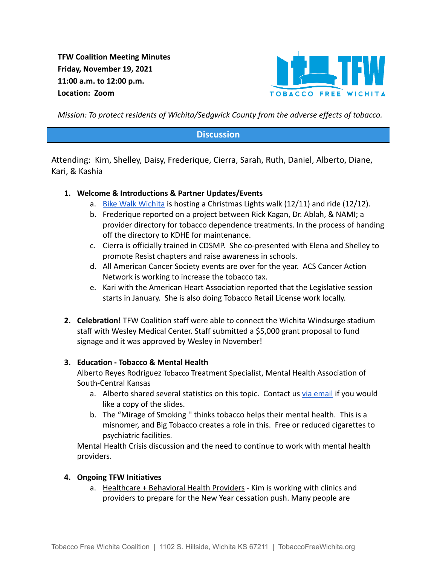**TFW Coalition Meeting Minutes Friday, November 19, 2021 11:00 a.m. to 12:00 p.m. Location: Zoom**



*Mission: To protect residents of Wichita/Sedgwick County from the adverse effects of tobacco.*

## **Discussion**

Attending: Kim, Shelley, Daisy, Frederique, Cierra, Sarah, Ruth, Daniel, Alberto, Diane, Kari, & Kashia

### **1. Welcome & Introductions & Partner Updates/Events**

- a. [Bike Walk Wichita](https://bikewalkwichita.org/calendar/) is hosting a Christmas Lights walk (12/11) and ride (12/12).
- b. Frederique reported on a project between Rick Kagan, Dr. Ablah, & NAMI; a provider directory for tobacco dependence treatments. In the process of handing off the directory to KDHE for maintenance.
- c. Cierra is officially trained in CDSMP. She co-presented with Elena and Shelley to promote Resist chapters and raise awareness in schools.
- d. All American Cancer Society events are over for the year. ACS Cancer Action Network is working to increase the tobacco tax.
- e. Kari with the American Heart Association reported that the Legislative session starts in January. She is also doing Tobacco Retail License work locally.
- **2. Celebration!** TFW Coalition staff were able to connect the Wichita Windsurge stadium staff with Wesley Medical Center. Staff submitted a \$5,000 grant proposal to fund signage and it was approved by Wesley in November!

#### **3. Education - Tobacco & Mental Health**

Alberto Reyes Rodriguez Tobacco Treatment Specialist, Mental Health Association of South-Central Kansas

- a. Alberto shared several statistics on this topic. Contact us [via email](mailto:tobaccofreewichita@gmail.com) if you would like a copy of the slides.
- b. The "Mirage of Smoking '' thinks tobacco helps their mental health. This is a misnomer, and Big Tobacco creates a role in this. Free or reduced cigarettes to psychiatric facilities.

Mental Health Crisis discussion and the need to continue to work with mental health providers.

#### **4. Ongoing TFW Initiatives**

a. Healthcare + Behavioral Health Providers - Kim is working with clinics and providers to prepare for the New Year cessation push. Many people are